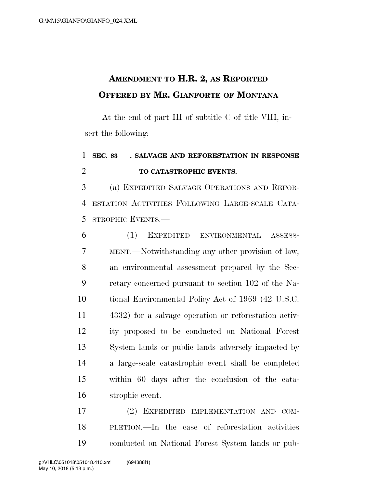## **AMENDMENT TO H.R. 2, AS REPORTED OFFERED BY MR. GIANFORTE OF MONTANA**

At the end of part III of subtitle C of title VIII, insert the following:

## **SEC. 83**ll**. SALVAGE AND REFORESTATION IN RESPONSE TO CATASTROPHIC EVENTS.**

 (a) EXPEDITED SALVAGE OPERATIONS AND REFOR- ESTATION ACTIVITIES FOLLOWING LARGE-SCALE CATA-STROPHIC EVENTS.—

 (1) EXPEDITED ENVIRONMENTAL ASSESS- MENT.—Notwithstanding any other provision of law, an environmental assessment prepared by the Sec- retary concerned pursuant to section 102 of the Na- tional Environmental Policy Act of 1969 (42 U.S.C. 4332) for a salvage operation or reforestation activ- ity proposed to be conducted on National Forest System lands or public lands adversely impacted by a large-scale catastrophic event shall be completed within 60 days after the conclusion of the cata-strophic event.

 (2) EXPEDITED IMPLEMENTATION AND COM- PLETION.—In the case of reforestation activities conducted on National Forest System lands or pub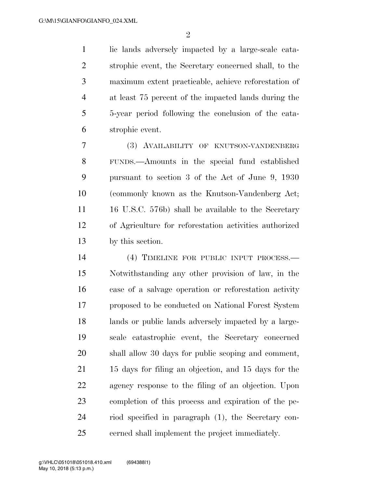$\mathfrak{D}$ 

 lic lands adversely impacted by a large-scale cata- strophic event, the Secretary concerned shall, to the maximum extent practicable, achieve reforestation of at least 75 percent of the impacted lands during the 5-year period following the conclusion of the cata-strophic event.

 (3) AVAILABILITY OF KNUTSON-VANDENBERG FUNDS.—Amounts in the special fund established pursuant to section 3 of the Act of June 9, 1930 (commonly known as the Knutson-Vandenberg Act; 16 U.S.C. 576b) shall be available to the Secretary of Agriculture for reforestation activities authorized by this section.

 (4) TIMELINE FOR PUBLIC INPUT PROCESS.— Notwithstanding any other provision of law, in the case of a salvage operation or reforestation activity proposed to be conducted on National Forest System lands or public lands adversely impacted by a large- scale catastrophic event, the Secretary concerned shall allow 30 days for public scoping and comment, 15 days for filing an objection, and 15 days for the agency response to the filing of an objection. Upon completion of this process and expiration of the pe- riod specified in paragraph (1), the Secretary con-cerned shall implement the project immediately.